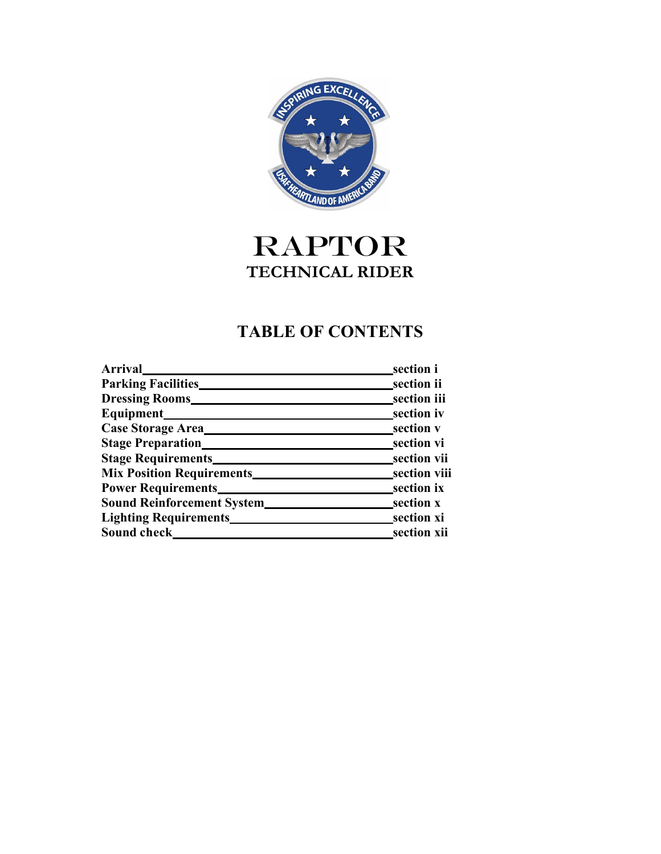

# **RAPTOR TECHNICAL RIDER**

# **TABLE OF CONTENTS**

| <b>Arrival</b>                     | section i        |
|------------------------------------|------------------|
| <b>Parking Facilities</b>          | _section ii      |
| <b>Dressing Rooms</b>              | section iii      |
| Equipment_                         | section iv       |
| Case Storage Area_                 | section v        |
| <b>Stage Preparation</b>           | section vi       |
| <b>Stage Requirements</b>          | section vii      |
| <b>Mix Position Requirements</b>   | section viii     |
| <b>Power Requirements</b>          | section ix       |
| <b>Sound Reinforcement System_</b> | section <b>x</b> |
| <b>Lighting Requirements</b>       | section xi       |
| Sound check                        | section xii      |
|                                    |                  |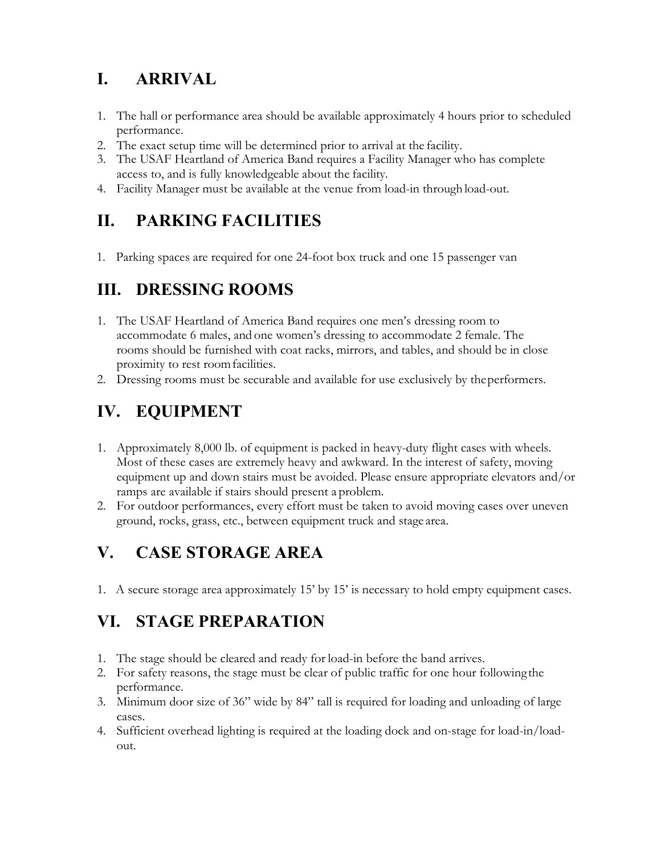### **I. ARRIVAL**

- 1. The hall or performance area should be available approximately 4 hours prior to scheduled performance.
- 2. The exact setup time will be determined prior to arrival at the facility.
- 3. The USAF Heartland of America Band requires a Facility Manager who has complete access to, and is fully knowledgeable about the facility.
- 4. Facility Manager must be available at the venue from load-in through load-out.

#### **II. PARKING FACILITIES**

1. Parking spaces are required for one 24-foot box truck and one 15 passenger van

### **III. DRESSING ROOMS**

- 1. The USAF Heartland of America Band requires one men's dressing room to accommodate 6 males, and one women's dressing to accommodate 2 female. The rooms should be furnished with coat racks, mirrors, and tables, and should be in close proximity to rest roomfacilities.
- 2. Dressing rooms must be securable and available for use exclusively by theperformers.

# **IV. EQUIPMENT**

- 1. Approximately 8,000 lb. of equipment is packed in heavy-duty flight cases with wheels. Most of these cases are extremely heavy and awkward. In the interest of safety, moving equipment up and down stairs must be avoided. Please ensure appropriate elevators and/or ramps are available if stairs should present a problem.
- 2. For outdoor performances, every effort must be taken to avoid moving cases over uneven ground, rocks, grass, etc., between equipment truck and stage area.

### **V. CASE STORAGE AREA**

1. A secure storage area approximately 15' by 15' is necessary to hold empty equipment cases.

### **VI. STAGE PREPARATION**

- 1. The stage should be cleared and ready for load-in before the band arrives.
- 2. For safety reasons, the stage must be clear of public traffic for one hour followingthe performance.
- 3. Minimum door size of 36" wide by 84" tall is required for loading and unloading of large cases.
- 4. Sufficient overhead lighting is required at the loading dock and on-stage for load-in/loadout.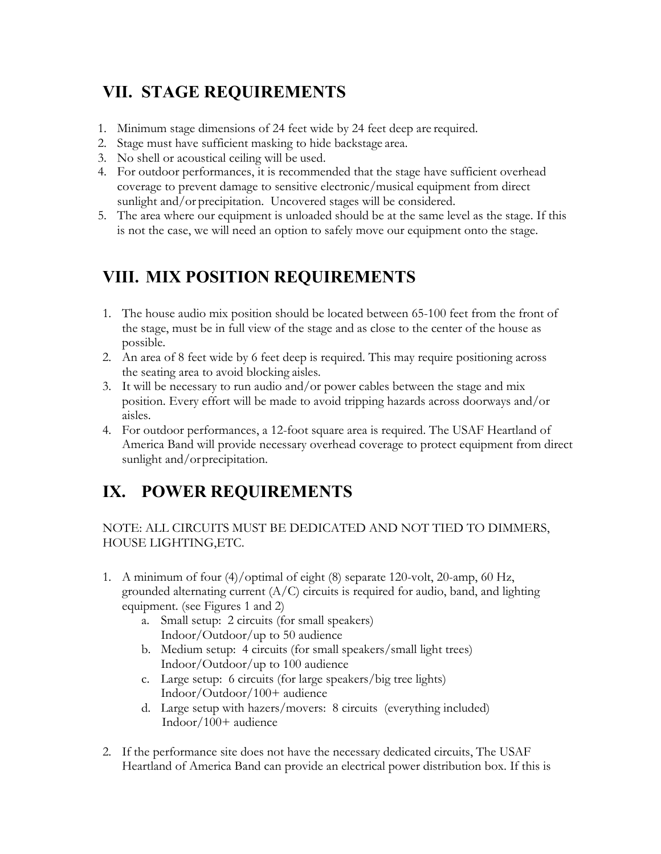#### **VII. STAGE REQUIREMENTS**

- 1. Minimum stage dimensions of 24 feet wide by 24 feet deep are required.
- 2. Stage must have sufficient masking to hide backstage area.
- 3. No shell or acoustical ceiling will be used.
- 4. For outdoor performances, it is recommended that the stage have sufficient overhead coverage to prevent damage to sensitive electronic/musical equipment from direct sunlight and/or precipitation. Uncovered stages will be considered.
- 5. The area where our equipment is unloaded should be at the same level as the stage. If this is not the case, we will need an option to safely move our equipment onto the stage.

#### **VIII. MIX POSITION REQUIREMENTS**

- 1. The house audio mix position should be located between 65-100 feet from the front of the stage, must be in full view of the stage and as close to the center of the house as possible.
- 2. An area of 8 feet wide by 6 feet deep is required. This may require positioning across the seating area to avoid blocking aisles.
- 3. It will be necessary to run audio and/or power cables between the stage and mix position. Every effort will be made to avoid tripping hazards across doorways and/or aisles.
- 4. For outdoor performances, a 12-foot square area is required. The USAF Heartland of America Band will provide necessary overhead coverage to protect equipment from direct sunlight and/or precipitation.

#### **IX. POWER REQUIREMENTS**

#### NOTE: ALL CIRCUITS MUST BE DEDICATED AND NOT TIED TO DIMMERS, HOUSE LIGHTING,ETC.

- 1. A minimum of four (4)/optimal of eight (8) separate 120-volt, 20-amp, 60 Hz, grounded alternating current  $(A/C)$  circuits is required for audio, band, and lighting equipment. (see Figures 1 and 2)
	- a. Small setup: 2 circuits (for small speakers) Indoor/Outdoor/up to 50 audience
	- b. Medium setup: 4 circuits (for small speakers/small light trees) Indoor/Outdoor/up to 100 audience
	- c. Large setup: 6 circuits (for large speakers/big tree lights) Indoor/Outdoor/100+ audience
	- d. Large setup with hazers/movers: 8 circuits (everything included) Indoor/100+ audience
- 2. If the performance site does not have the necessary dedicated circuits, The USAF Heartland of America Band can provide an electrical power distribution box. If this is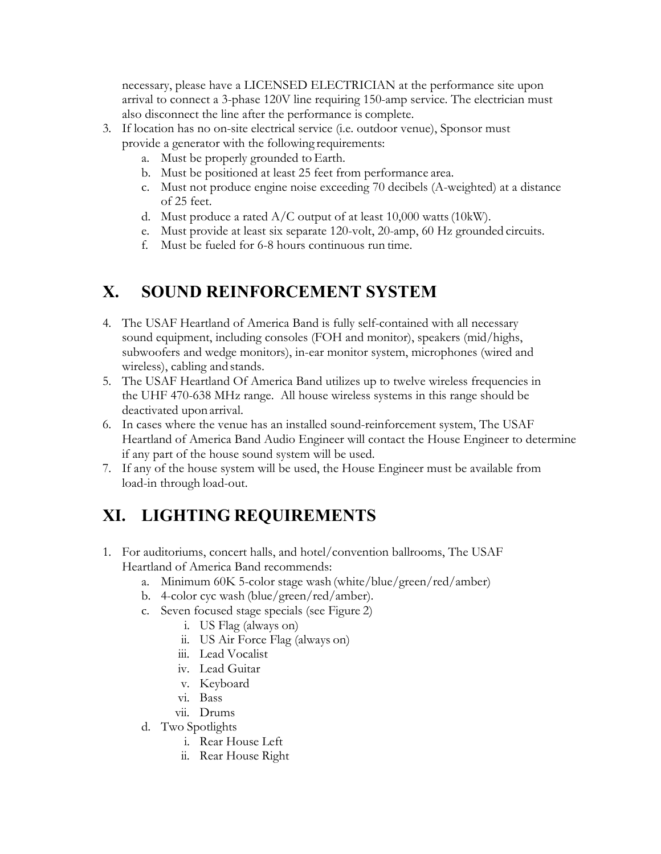necessary, please have a LICENSED ELECTRICIAN at the performance site upon arrival to connect a 3-phase 120V line requiring 150-amp service. The electrician must also disconnect the line after the performance is complete.

- 3. If location has no on-site electrical service (i.e. outdoor venue), Sponsor must provide a generator with the following requirements:
	- a. Must be properly grounded to Earth.
	- b. Must be positioned at least 25 feet from performance area.
	- c. Must not produce engine noise exceeding 70 decibels (A-weighted) at a distance of 25 feet.
	- d. Must produce a rated  $A/C$  output of at least 10,000 watts (10kW).
	- e. Must provide at least six separate 120-volt, 20-amp, 60 Hz grounded circuits.
	- f. Must be fueled for 6-8 hours continuous run time.

#### **X. SOUND REINFORCEMENT SYSTEM**

- 4. The USAF Heartland of America Band is fully self-contained with all necessary sound equipment, including consoles (FOH and monitor), speakers (mid/highs, subwoofers and wedge monitors), in-ear monitor system, microphones (wired and wireless), cabling and stands.
- 5. The USAF Heartland Of America Band utilizes up to twelve wireless frequencies in the UHF 470-638 MHz range. All house wireless systems in this range should be deactivated uponarrival.
- 6. In cases where the venue has an installed sound-reinforcement system, The USAF Heartland of America Band Audio Engineer will contact the House Engineer to determine if any part of the house sound system will be used.
- 7. If any of the house system will be used, the House Engineer must be available from load-in through load-out.

### **XI. LIGHTING REQUIREMENTS**

- 1. For auditoriums, concert halls, and hotel/convention ballrooms, The USAF Heartland of America Band recommends:
	- a. Minimum 60K 5-color stage wash (white/blue/green/red/amber)
	- b. 4-color cyc wash (blue/green/red/amber).
	- c. Seven focused stage specials (see Figure 2)
		- i. US Flag (always on)
		- ii. US Air Force Flag (always on)
		- iii. Lead Vocalist
		- iv. Lead Guitar
		- v. Keyboard
		- vi. Bass
		- vii. Drums
	- d. Two Spotlights
		- i. Rear House Left
		- ii. Rear House Right